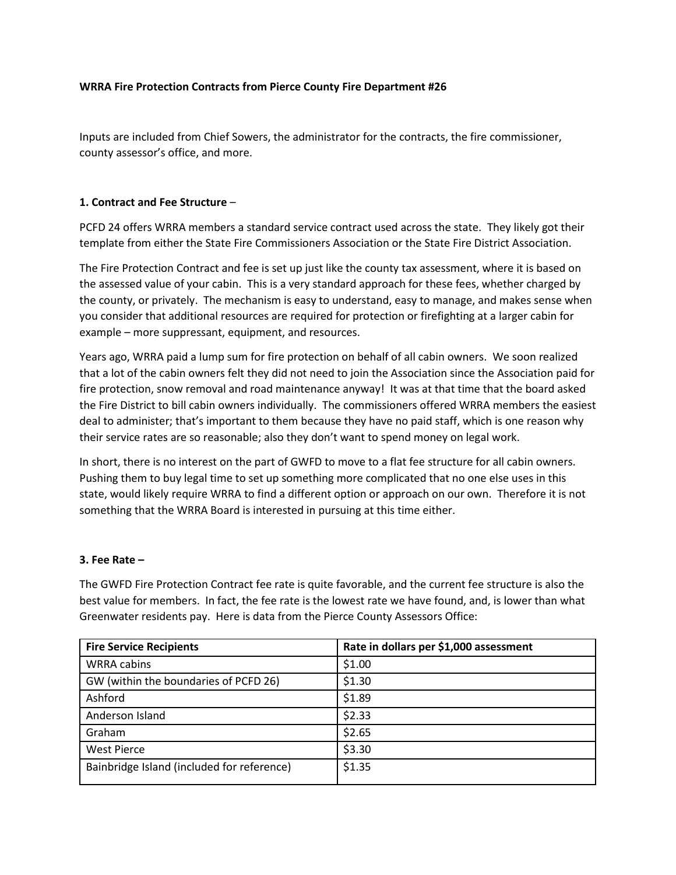#### **WRRA Fire Protection Contracts from Pierce County Fire Department #26**

Inputs are included from Chief Sowers, the administrator for the contracts, the fire commissioner, county assessor's office, and more.

#### **1. Contract and Fee Structure** –

PCFD 24 offers WRRA members a standard service contract used across the state. They likely got their template from either the State Fire Commissioners Association or the State Fire District Association.

The Fire Protection Contract and fee is set up just like the county tax assessment, where it is based on the assessed value of your cabin. This is a very standard approach for these fees, whether charged by the county, or privately. The mechanism is easy to understand, easy to manage, and makes sense when you consider that additional resources are required for protection or firefighting at a larger cabin for example – more suppressant, equipment, and resources.

Years ago, WRRA paid a lump sum for fire protection on behalf of all cabin owners. We soon realized that a lot of the cabin owners felt they did not need to join the Association since the Association paid for fire protection, snow removal and road maintenance anyway! It was at that time that the board asked the Fire District to bill cabin owners individually. The commissioners offered WRRA members the easiest deal to administer; that's important to them because they have no paid staff, which is one reason why their service rates are so reasonable; also they don't want to spend money on legal work.

In short, there is no interest on the part of GWFD to move to a flat fee structure for all cabin owners. Pushing them to buy legal time to set up something more complicated that no one else uses in this state, would likely require WRRA to find a different option or approach on our own. Therefore it is not something that the WRRA Board is interested in pursuing at this time either.

# **3. Fee Rate –**

The GWFD Fire Protection Contract fee rate is quite favorable, and the current fee structure is also the best value for members. In fact, the fee rate is the lowest rate we have found, and, is lower than what Greenwater residents pay. Here is data from the Pierce County Assessors Office:

| <b>Fire Service Recipients</b>             | Rate in dollars per \$1,000 assessment |
|--------------------------------------------|----------------------------------------|
| <b>WRRA cabins</b>                         | \$1.00                                 |
| GW (within the boundaries of PCFD 26)      | \$1.30                                 |
| Ashford                                    | \$1.89                                 |
| Anderson Island                            | \$2.33                                 |
| Graham                                     | \$2.65                                 |
| <b>West Pierce</b>                         | \$3.30                                 |
| Bainbridge Island (included for reference) | \$1.35                                 |